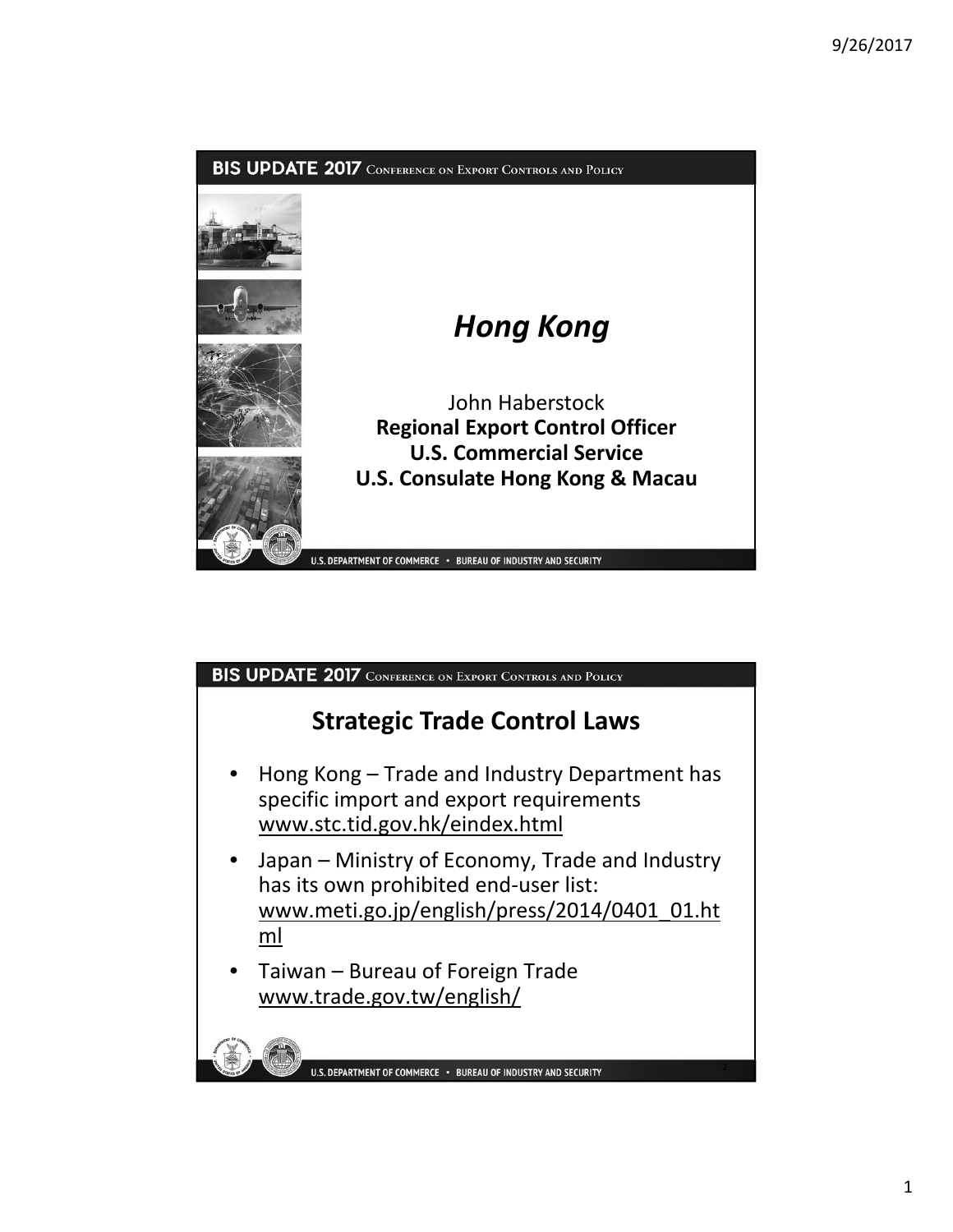

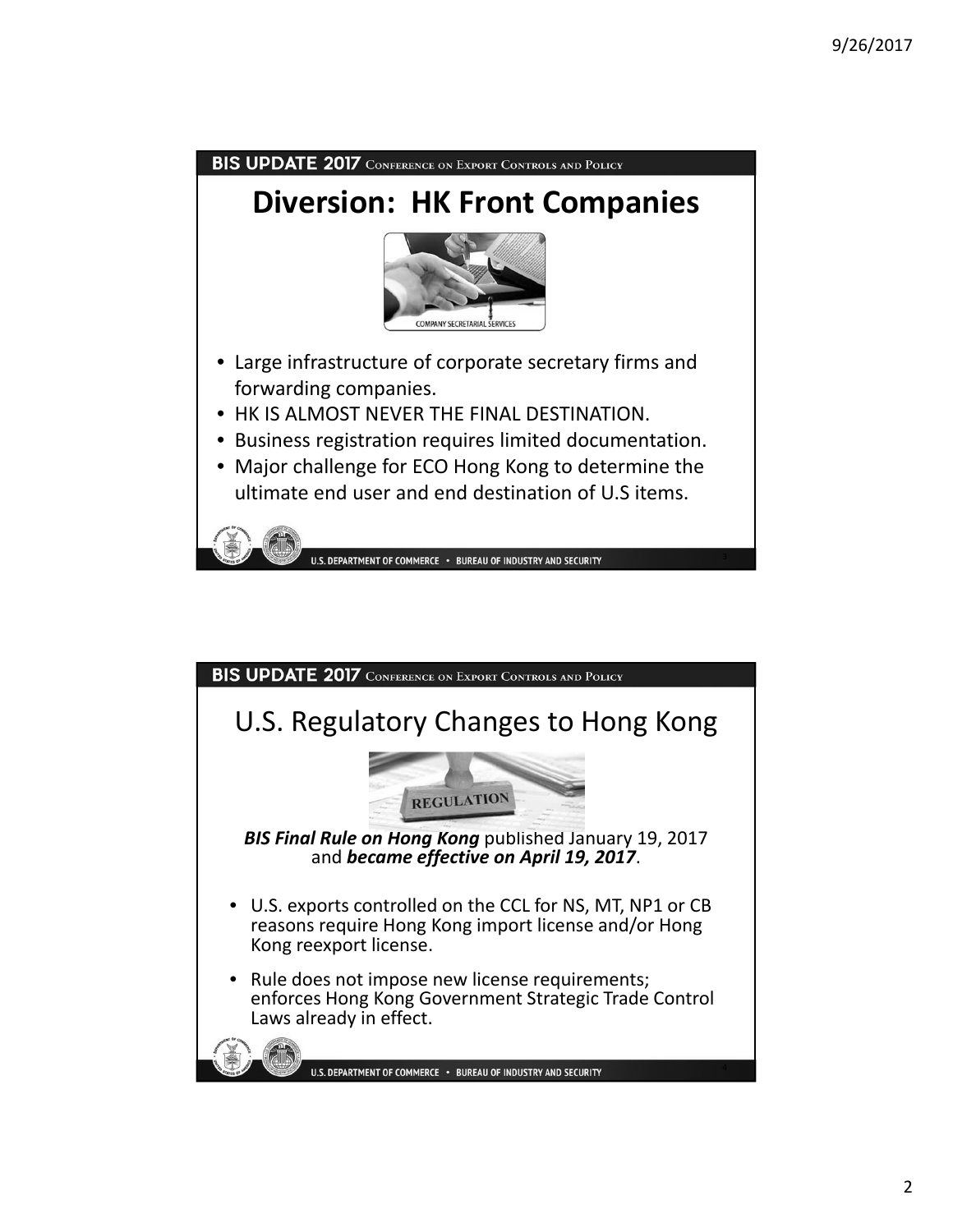

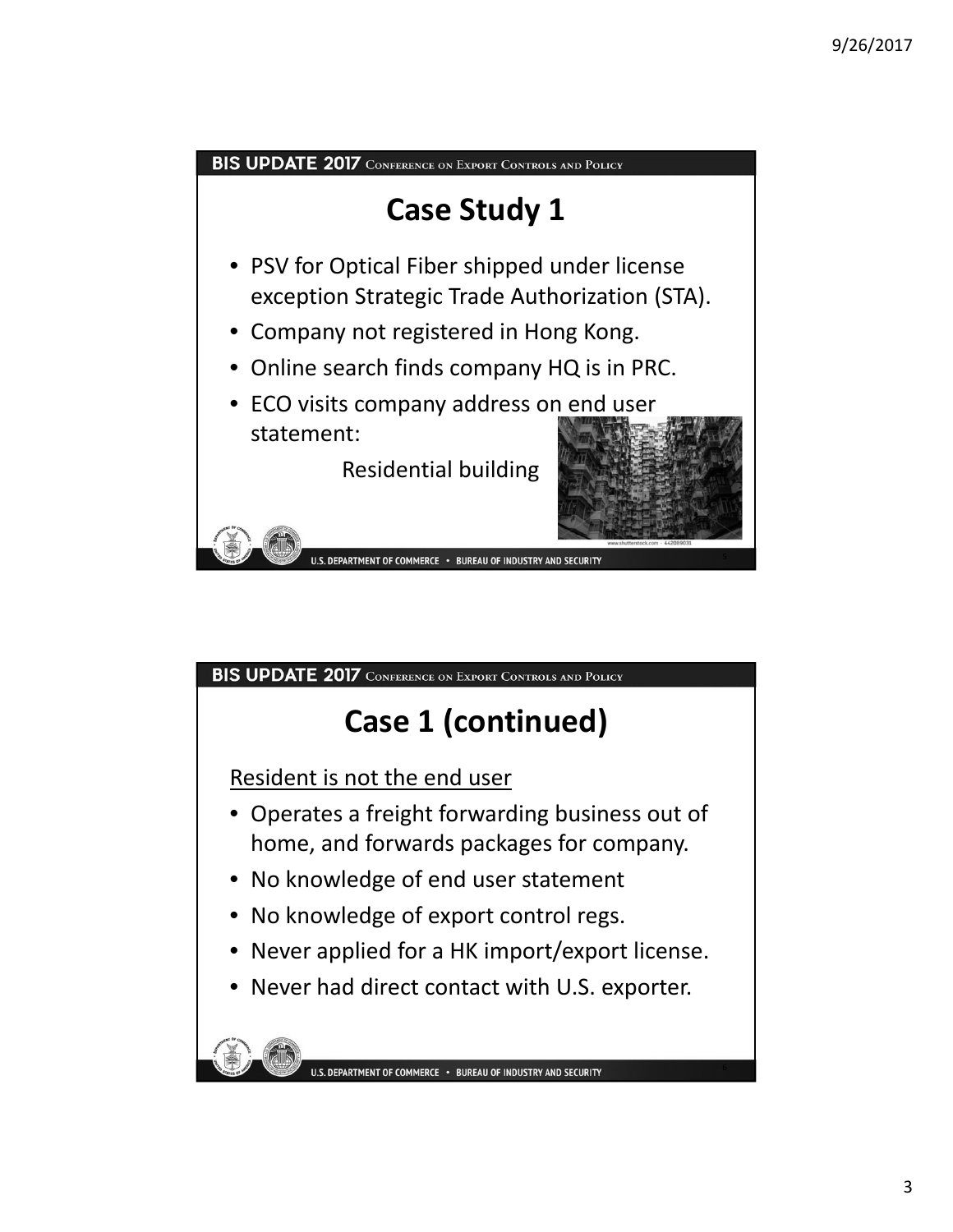



- No knowledge of end user statement
- No knowledge of export control regs.
- Never applied for a HK import/export license.
- Never had direct contact with U.S. exporter.

U.S. DEPARTMENT OF COMMERCE . BUREAU OF INDUSTRY AND SECURITY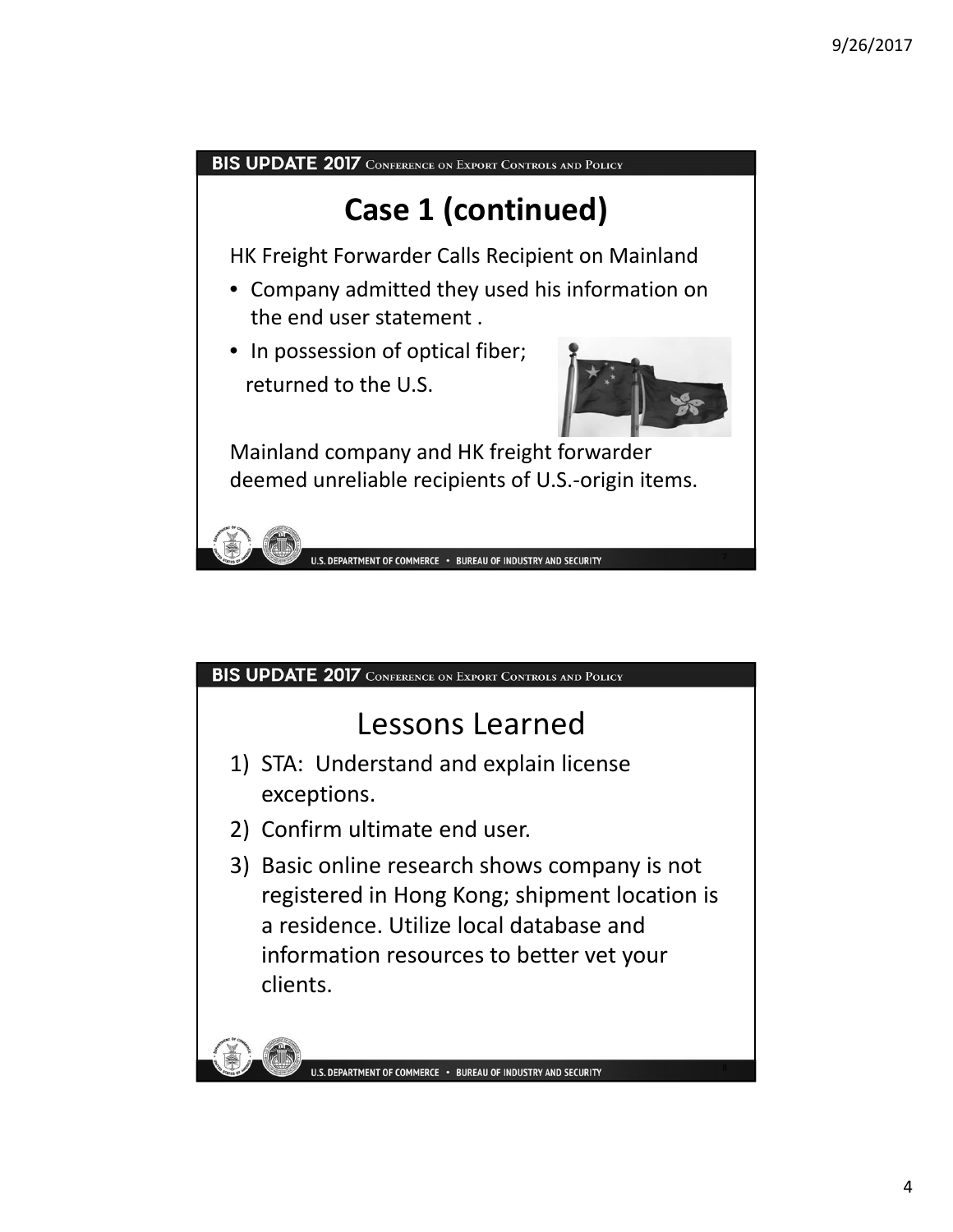

## BIS UPDATE 2017 CONFERENCE ON EXPORT CONTROLS AND POLICY

## Lessons Learned

- 1) STA: Understand and explain license exceptions.
- 2) Confirm ultimate end user.
- 3) Basic online research shows company is not registered in Hong Kong; shipment location is a residence. Utilize local database and information resources to better vet your clients.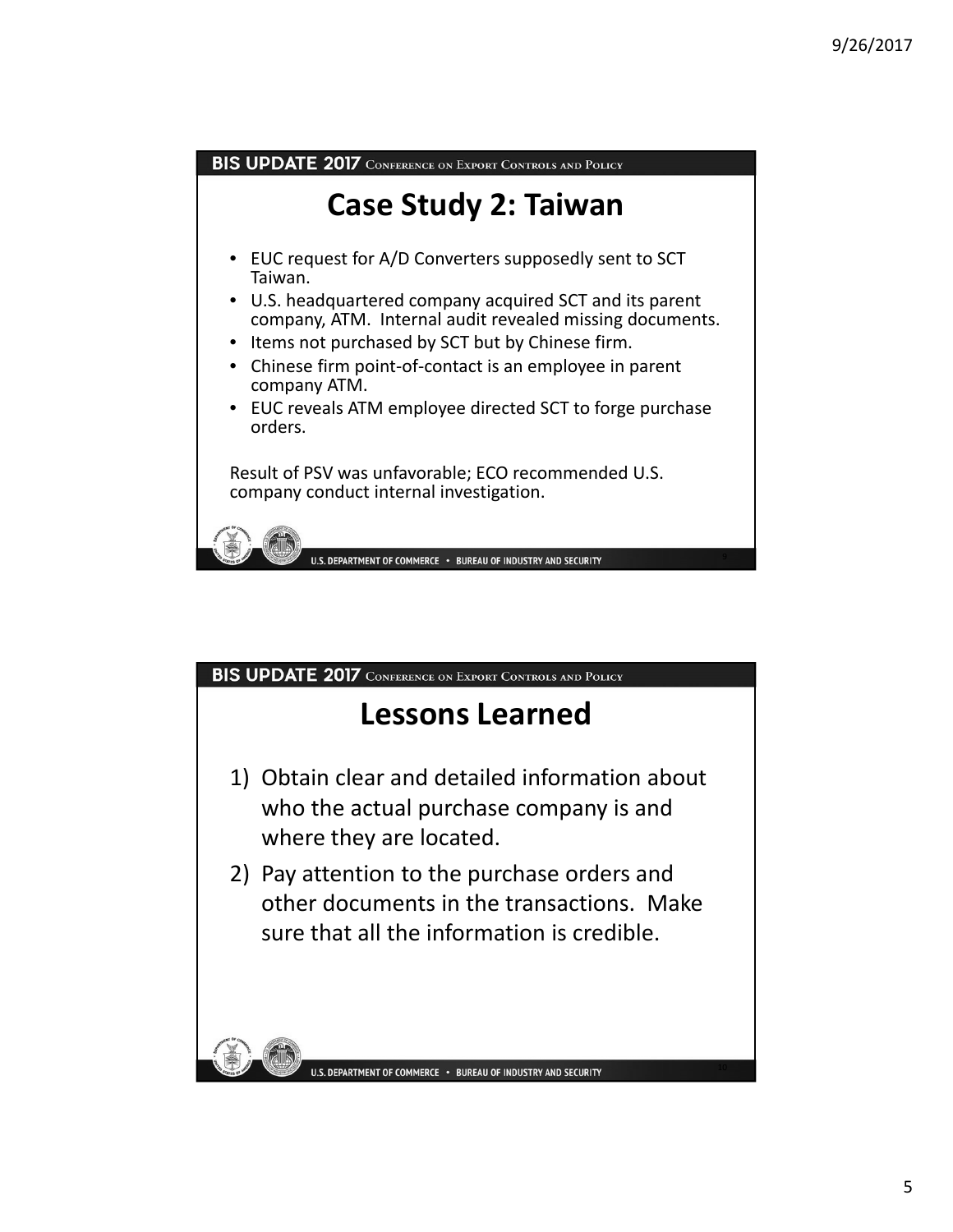

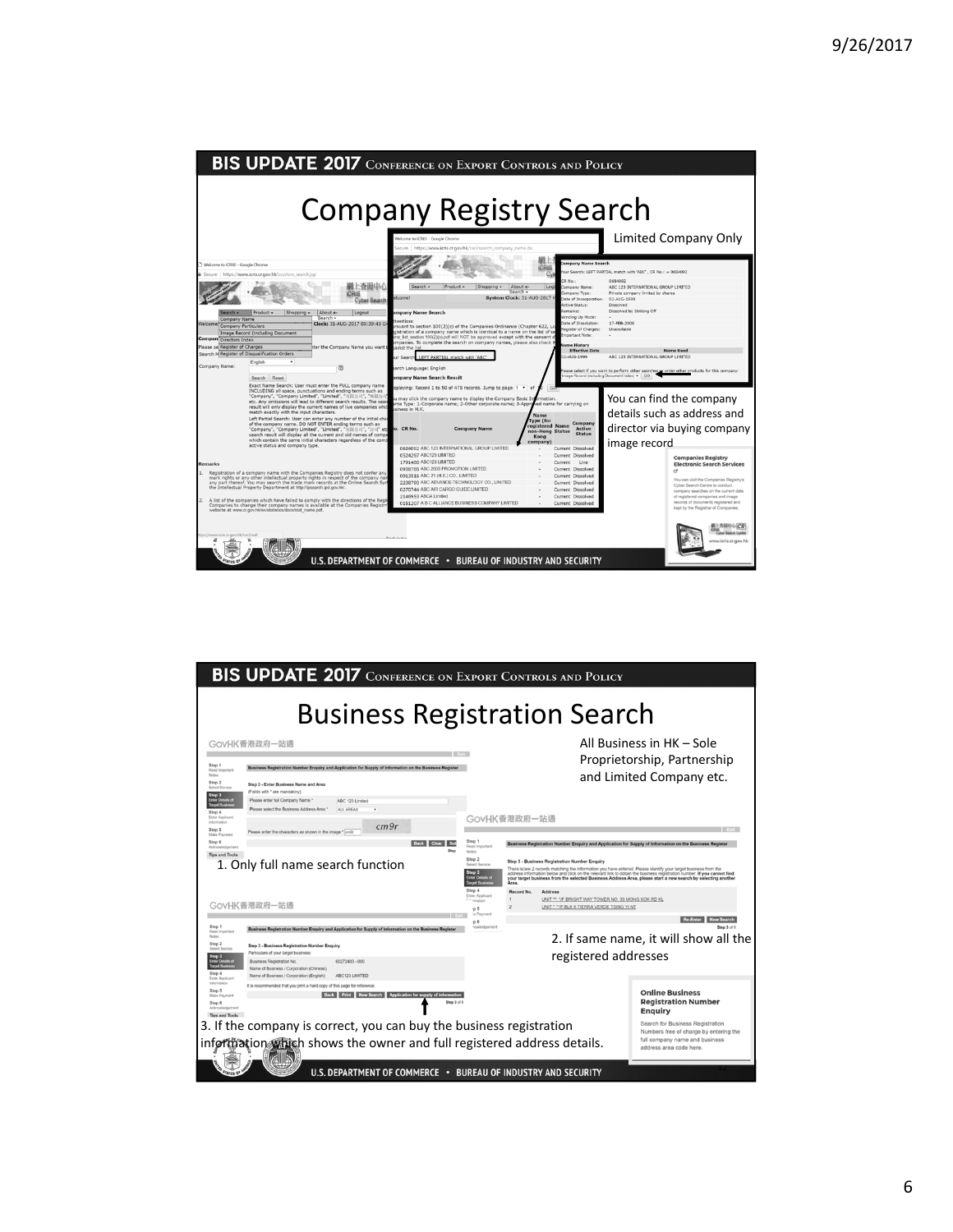

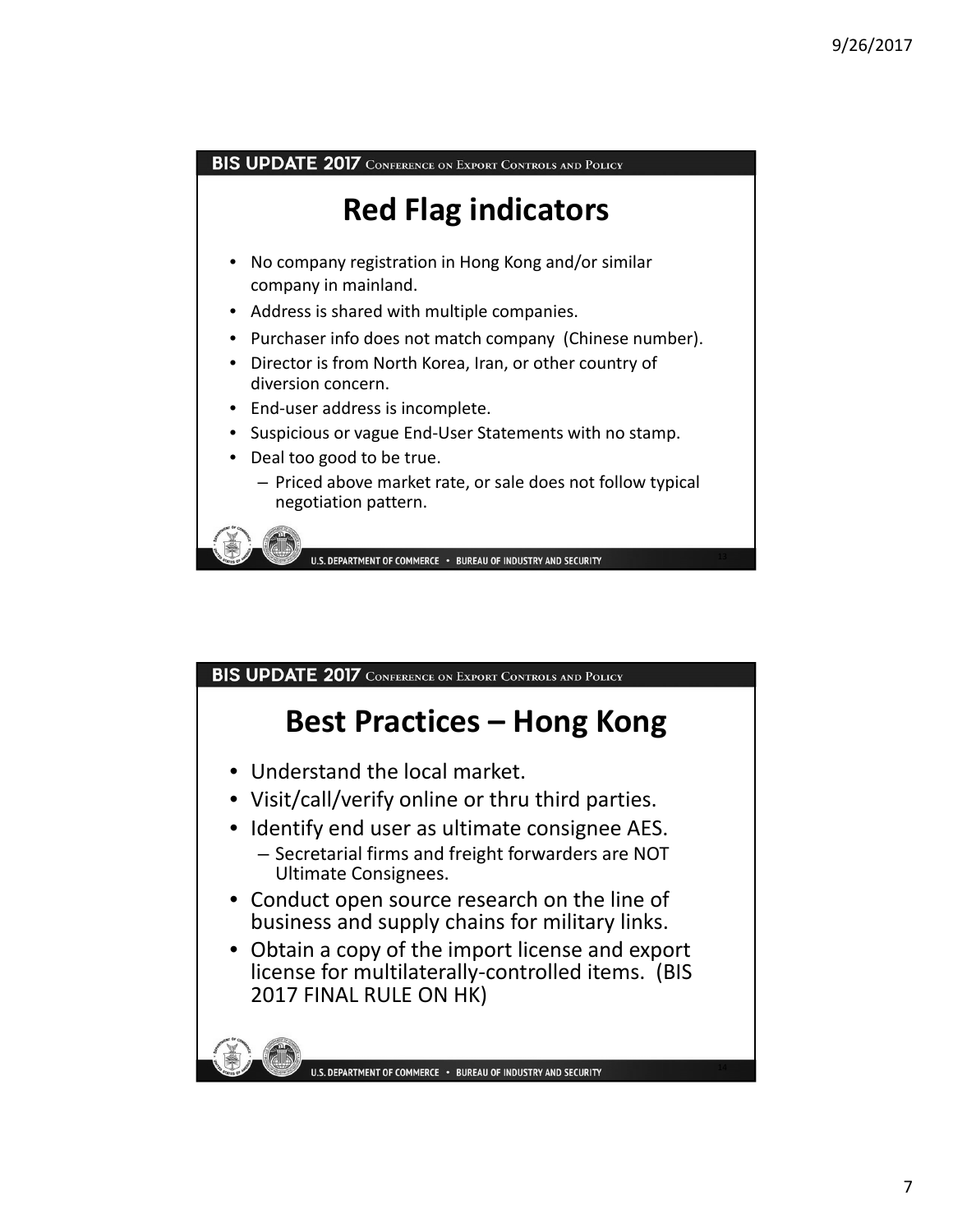BIS UPDATE 2017 CONFERENCE ON EXPORT CONTROLS AND POLICY **Red Flag indicators** • No company registration in Hong Kong and/or similar company in mainland. • Address is shared with multiple companies. Purchaser info does not match company (Chinese number). • Director is from North Korea, Iran, or other country of diversion concern. • End-user address is incomplete. • Suspicious or vague End‐User Statements with no stamp. • Deal too good to be true. – Priced above market rate, or sale does not follow typical negotiation pattern. U.S. DEPARTMENT OF COMMERCE . BUREAU OF INDUSTRY AND SECURITY